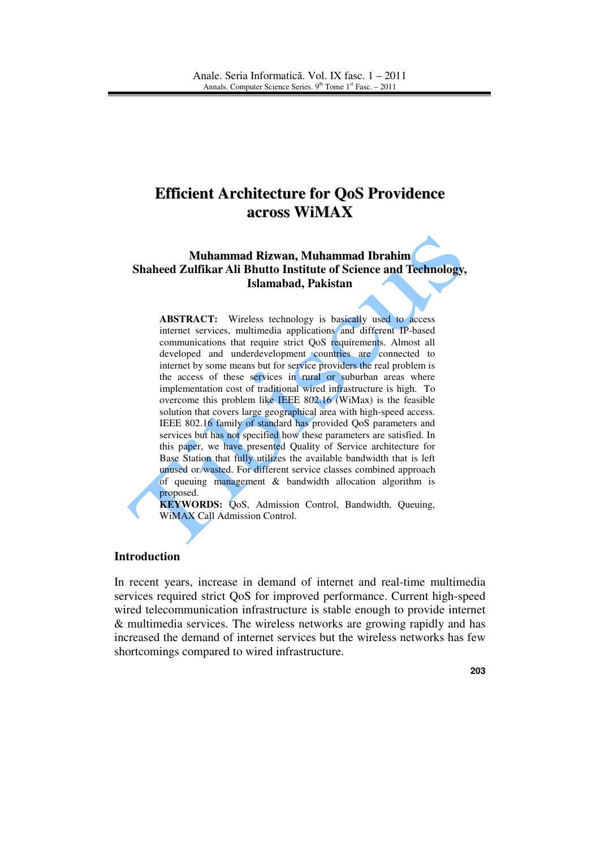# **Efficient Architecture for QoS Providence across WiMAX**

# **Muhammad Rizwan, Muhammad Ibrahim Shaheed Zulfikar Ali Bhutto Institute of Science and Technology, Islamabad, Pakistan**

**ABSTRACT:** Wireless technology is basically used to access internet services, multimedia applications and different IP-based communications that require strict QoS requirements. Almost all developed and underdevelopment countries are connected to internet by some means but for service providers the real problem is the access of these services in rural or suburban areas where implementation cost of traditional wired infrastructure is high. To overcome this problem like IEEE 802.16 (WiMax) is the feasible solution that covers large geographical area with high-speed access. IEEE 802.16 family of standard has provided QoS parameters and services but has not specified how these parameters are satisfied. In this paper, we have presented Quality of Service architecture for Base Station that fully utilizes the available bandwidth that is left unused or wasted. For different service classes combined approach of queuing management & bandwidth allocation algorithm is proposed.

**KEYWORDS:** QoS, Admission Control, Bandwidth, Queuing, WiMAX Call Admission Control.

#### **Introduction**

In recent years, increase in demand of internet and real-time multimedia services required strict QoS for improved performance. Current high-speed wired telecommunication infrastructure is stable enough to provide internet & multimedia services. The wireless networks are growing rapidly and has increased the demand of internet services but the wireless networks has few shortcomings compared to wired infrastructure.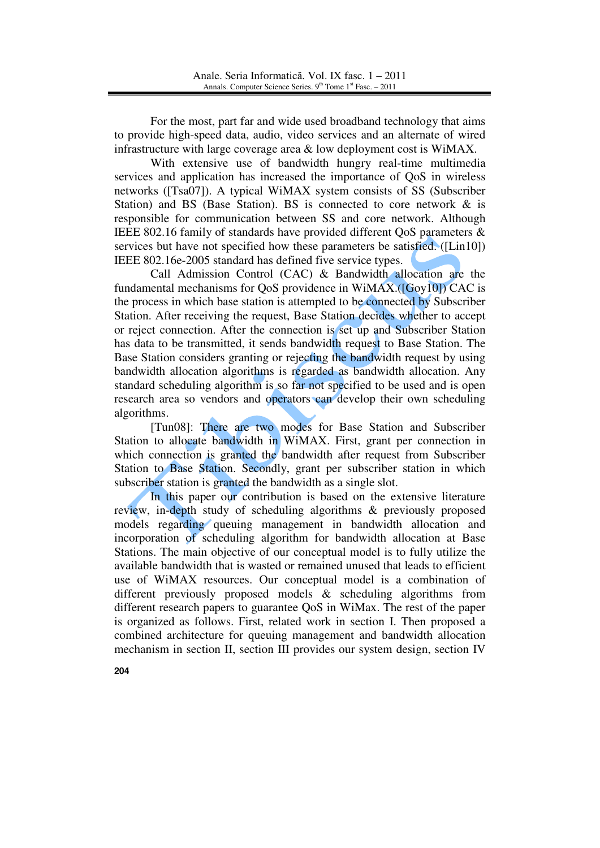For the most, part far and wide used broadband technology that aims to provide high-speed data, audio, video services and an alternate of wired infrastructure with large coverage area & low deployment cost is WiMAX.

With extensive use of bandwidth hungry real-time multimedia services and application has increased the importance of QoS in wireless networks ([Tsa07]). A typical WiMAX system consists of SS (Subscriber Station) and BS (Base Station). BS is connected to core network  $\&$  is responsible for communication between SS and core network. Although IEEE 802.16 family of standards have provided different QoS parameters & services but have not specified how these parameters be satisfied. ([Lin10]) IEEE 802.16e-2005 standard has defined five service types.

Call Admission Control (CAC) & Bandwidth allocation are the fundamental mechanisms for QoS providence in WiMAX.([Goy10]) CAC is the process in which base station is attempted to be connected by Subscriber Station. After receiving the request, Base Station decides whether to accept or reject connection. After the connection is set up and Subscriber Station has data to be transmitted, it sends bandwidth request to Base Station. The Base Station considers granting or rejecting the bandwidth request by using bandwidth allocation algorithms is regarded as bandwidth allocation. Any standard scheduling algorithm is so far not specified to be used and is open research area so vendors and operators can develop their own scheduling algorithms.

[Tun08]: There are two modes for Base Station and Subscriber Station to allocate bandwidth in WiMAX. First, grant per connection in which connection is granted the bandwidth after request from Subscriber Station to Base Station. Secondly, grant per subscriber station in which subscriber station is granted the bandwidth as a single slot.

In this paper our contribution is based on the extensive literature review, in-depth study of scheduling algorithms & previously proposed models regarding queuing management in bandwidth allocation and incorporation of scheduling algorithm for bandwidth allocation at Base Stations. The main objective of our conceptual model is to fully utilize the available bandwidth that is wasted or remained unused that leads to efficient use of WiMAX resources. Our conceptual model is a combination of different previously proposed models & scheduling algorithms from different research papers to guarantee QoS in WiMax. The rest of the paper is organized as follows. First, related work in section I. Then proposed a combined architecture for queuing management and bandwidth allocation mechanism in section II, section III provides our system design, section IV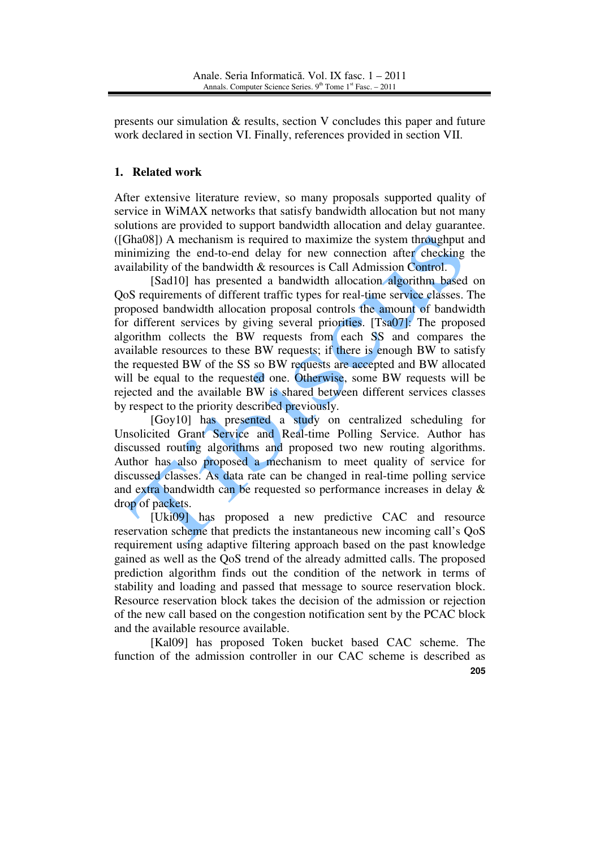presents our simulation & results, section V concludes this paper and future work declared in section VI. Finally, references provided in section VII.

# **1. Related work**

After extensive literature review, so many proposals supported quality of service in WiMAX networks that satisfy bandwidth allocation but not many solutions are provided to support bandwidth allocation and delay guarantee. ([Gha08]) A mechanism is required to maximize the system throughput and minimizing the end-to-end delay for new connection after checking the availability of the bandwidth & resources is Call Admission Control.

[Sad10] has presented a bandwidth allocation algorithm based on QoS requirements of different traffic types for real-time service classes. The proposed bandwidth allocation proposal controls the amount of bandwidth for different services by giving several priorities. [Tsa07]: The proposed algorithm collects the BW requests from each SS and compares the available resources to these BW requests; if there is enough BW to satisfy the requested BW of the SS so BW requests are accepted and BW allocated will be equal to the requested one. Otherwise, some BW requests will be rejected and the available BW is shared between different services classes by respect to the priority described previously.

[Goy10] has presented a study on centralized scheduling for Unsolicited Grant Service and Real-time Polling Service. Author has discussed routing algorithms and proposed two new routing algorithms. Author has also proposed a mechanism to meet quality of service for discussed classes. As data rate can be changed in real-time polling service and extra bandwidth can be requested so performance increases in delay & drop of packets.

[Uki09] has proposed a new predictive CAC and resource reservation scheme that predicts the instantaneous new incoming call's QoS requirement using adaptive filtering approach based on the past knowledge gained as well as the QoS trend of the already admitted calls. The proposed prediction algorithm finds out the condition of the network in terms of stability and loading and passed that message to source reservation block. Resource reservation block takes the decision of the admission or rejection of the new call based on the congestion notification sent by the PCAC block and the available resource available.

**205** [Kal09] has proposed Token bucket based CAC scheme. The function of the admission controller in our CAC scheme is described as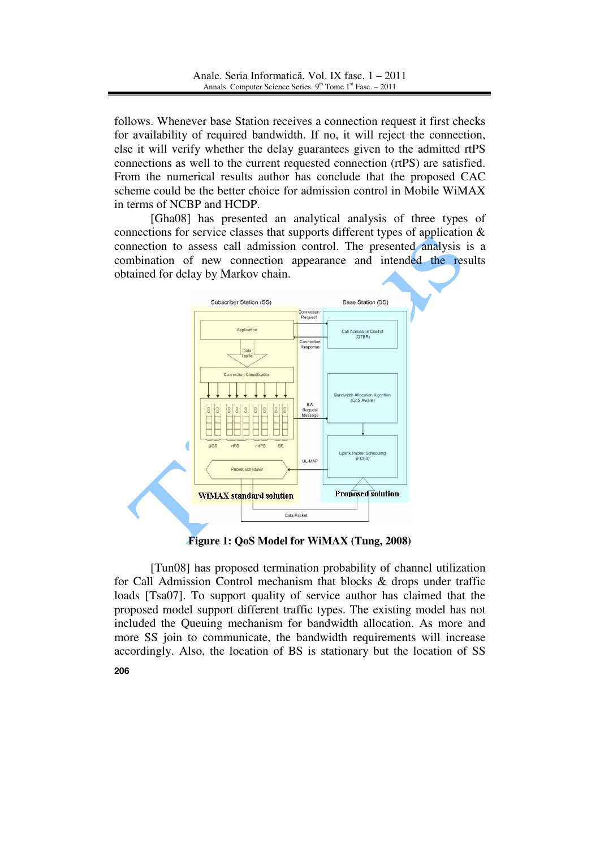follows. Whenever base Station receives a connection request it first checks for availability of required bandwidth. If no, it will reject the connection, else it will verify whether the delay guarantees given to the admitted rtPS connections as well to the current requested connection (rtPS) are satisfied. From the numerical results author has conclude that the proposed CAC scheme could be the better choice for admission control in Mobile WiMAX in terms of NCBP and HCDP.

[Gha08] has presented an analytical analysis of three types of connections for service classes that supports different types of application  $\&$ connection to assess call admission control. The presented analysis is a combination of new connection appearance and intended the results obtained for delay by Markov chain.



**Figure 1: QoS Model for WiMAX (Tung, 2008)** 

**206** [Tun08] has proposed termination probability of channel utilization for Call Admission Control mechanism that blocks & drops under traffic loads [Tsa07]. To support quality of service author has claimed that the proposed model support different traffic types. The existing model has not included the Queuing mechanism for bandwidth allocation. As more and more SS join to communicate, the bandwidth requirements will increase accordingly. Also, the location of BS is stationary but the location of SS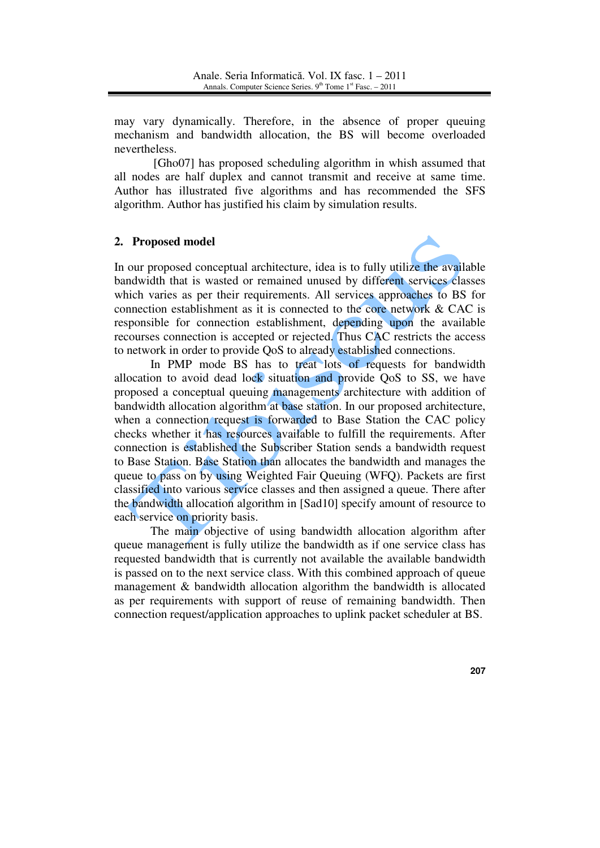may vary dynamically. Therefore, in the absence of proper queuing mechanism and bandwidth allocation, the BS will become overloaded nevertheless.

 [Gho07] has proposed scheduling algorithm in whish assumed that all nodes are half duplex and cannot transmit and receive at same time. Author has illustrated five algorithms and has recommended the SFS algorithm. Author has justified his claim by simulation results.

## **2. Proposed model**



In our proposed conceptual architecture, idea is to fully utilize the available bandwidth that is wasted or remained unused by different services classes which varies as per their requirements. All services approaches to BS for connection establishment as it is connected to the core network & CAC is responsible for connection establishment, depending upon the available recourses connection is accepted or rejected. Thus CAC restricts the access to network in order to provide QoS to already established connections.

In PMP mode BS has to treat lots of requests for bandwidth allocation to avoid dead lock situation and provide QoS to SS, we have proposed a conceptual queuing managements architecture with addition of bandwidth allocation algorithm at base station. In our proposed architecture, when a connection request is forwarded to Base Station the CAC policy checks whether it has resources available to fulfill the requirements. After connection is established the Subscriber Station sends a bandwidth request to Base Station. Base Station than allocates the bandwidth and manages the queue to pass on by using Weighted Fair Queuing (WFQ). Packets are first classified into various service classes and then assigned a queue. There after the bandwidth allocation algorithm in [Sad10] specify amount of resource to each service on priority basis.

The main objective of using bandwidth allocation algorithm after queue management is fully utilize the bandwidth as if one service class has requested bandwidth that is currently not available the available bandwidth is passed on to the next service class. With this combined approach of queue management & bandwidth allocation algorithm the bandwidth is allocated as per requirements with support of reuse of remaining bandwidth. Then connection request/application approaches to uplink packet scheduler at BS.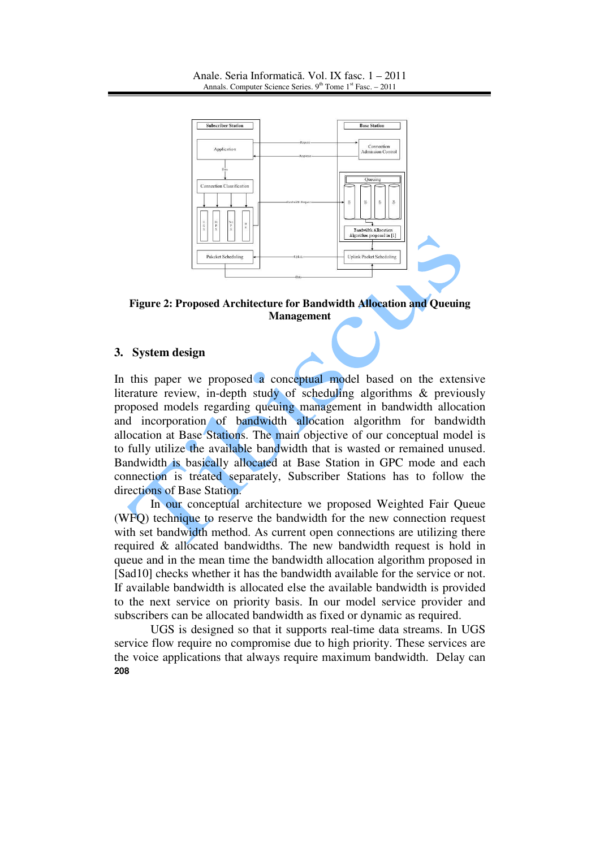

**Figure 2: Proposed Architecture for Bandwidth Allocation and Queuing Management**

## **3. System design**

In this paper we proposed a conceptual model based on the extensive literature review, in-depth study of scheduling algorithms  $\&$  previously proposed models regarding queuing management in bandwidth allocation and incorporation of bandwidth allocation algorithm for bandwidth allocation at Base Stations. The main objective of our conceptual model is to fully utilize the available bandwidth that is wasted or remained unused. Bandwidth is basically allocated at Base Station in GPC mode and each connection is treated separately, Subscriber Stations has to follow the directions of Base Station.

In our conceptual architecture we proposed Weighted Fair Queue (WFQ) technique to reserve the bandwidth for the new connection request with set bandwidth method. As current open connections are utilizing there required & allocated bandwidths. The new bandwidth request is hold in queue and in the mean time the bandwidth allocation algorithm proposed in [Sad10] checks whether it has the bandwidth available for the service or not. If available bandwidth is allocated else the available bandwidth is provided to the next service on priority basis. In our model service provider and subscribers can be allocated bandwidth as fixed or dynamic as required.

**208** UGS is designed so that it supports real-time data streams. In UGS service flow require no compromise due to high priority. These services are the voice applications that always require maximum bandwidth. Delay can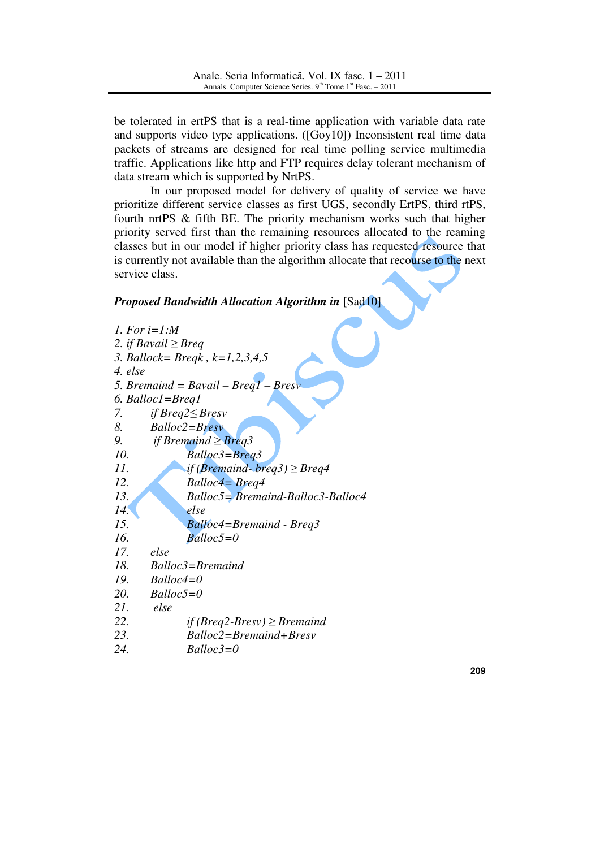be tolerated in ertPS that is a real-time application with variable data rate and supports video type applications. ([Goy10]) Inconsistent real time data packets of streams are designed for real time polling service multimedia traffic. Applications like http and FTP requires delay tolerant mechanism of data stream which is supported by NrtPS.

In our proposed model for delivery of quality of service we have prioritize different service classes as first UGS, secondly ErtPS, third rtPS, fourth nrtPS & fifth BE. The priority mechanism works such that higher priority served first than the remaining resources allocated to the reaming classes but in our model if higher priority class has requested resource that is currently not available than the algorithm allocate that recourse to the next service class.

### *Proposed Bandwidth Allocation Algorithm in* [Sad10]

| 1. For $i=1:M$                           |
|------------------------------------------|
| 2. if Bavail $\geq$ Breq                 |
| 3. Ballock= Breqk, $k=1,2,3,4,5$         |
| 4. else                                  |
| 5. Bremaind = $Bavail - Breq1 - Bresv$   |
| 6. Balloc1=Breq1                         |
| 7.<br>if $Breq2 \leq Bresv$              |
| 8.<br>Balloc2=Bresv                      |
| if Bremaind $\geq$ Breg3<br>9.           |
| 10.<br>$B$ alloc3=Breq3                  |
| 11.<br>if (Bremaind-breq3) $\geq$ Breq4  |
| 12.<br><b>Balloc4</b> = <b>Breg4</b>     |
| 13.<br>Balloc5= Bremaind-Balloc3-Balloc4 |
| 14.<br>else                              |
| 15.<br><b>Balloc4=Bremaind - Breg3</b>   |
| 16.<br>$Balloc5=0$                       |
| 17.<br>else                              |
| 18.<br>$Balloc3 = Bremaind$              |
| 19.<br>$Balloc4=0$                       |
| 20.<br>$Balloc5=0$                       |
| 21.<br>else                              |
| 22.<br>if (Breq2-Bresv) $\geq$ Bremaind  |
| 23.<br>Balloc2=Bremaind+Bresv            |
| 24.<br>Balloc3=0                         |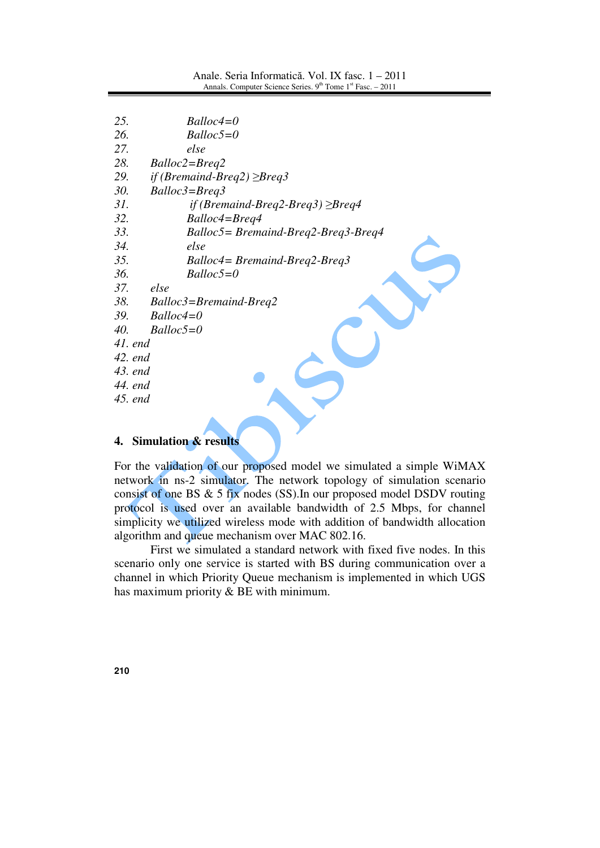| 25.<br>$Balloc4=0$                            |
|-----------------------------------------------|
| 26.<br>$Balloc5=0$                            |
| 27.<br>else                                   |
| 28.<br>$Balloc2 = Breq2$                      |
| 29.<br>if (Bremaind-Breq2) $\geq$ Breq3       |
| 30.<br>Balloc3=Breq3                          |
| 31.<br>if (Bremaind-Breq2-Breq3) $\geq$ Breq4 |
| 32.<br>Balloc4=Breg4                          |
| 33.<br>$Balloc5 = Bremaind-Breq2-Breq3-Breq4$ |
| 34.<br>else                                   |
| 35.<br>$Balloc4 = Bremaind-Breq2-Breq3$       |
| 36.<br>$Balloc5=0$                            |
| 37.<br>else                                   |
| 38.<br>$Balloc3 = Bremaind-Breq2$             |
| 39.<br>$Balloc4=0$                            |
| 40.<br>$Balloc5=0$                            |
| $41.$ end                                     |
| 42. end                                       |
| 43. end                                       |
| 44. end                                       |
| 45. end                                       |
|                                               |
|                                               |

# **4. Simulation & results**

For the validation of our proposed model we simulated a simple WiMAX network in ns-2 simulator. The network topology of simulation scenario consist of one BS & 5 fix nodes (SS).In our proposed model DSDV routing protocol is used over an available bandwidth of 2.5 Mbps, for channel simplicity we utilized wireless mode with addition of bandwidth allocation algorithm and queue mechanism over MAC 802.16.

First we simulated a standard network with fixed five nodes. In this scenario only one service is started with BS during communication over a channel in which Priority Queue mechanism is implemented in which UGS has maximum priority & BE with minimum.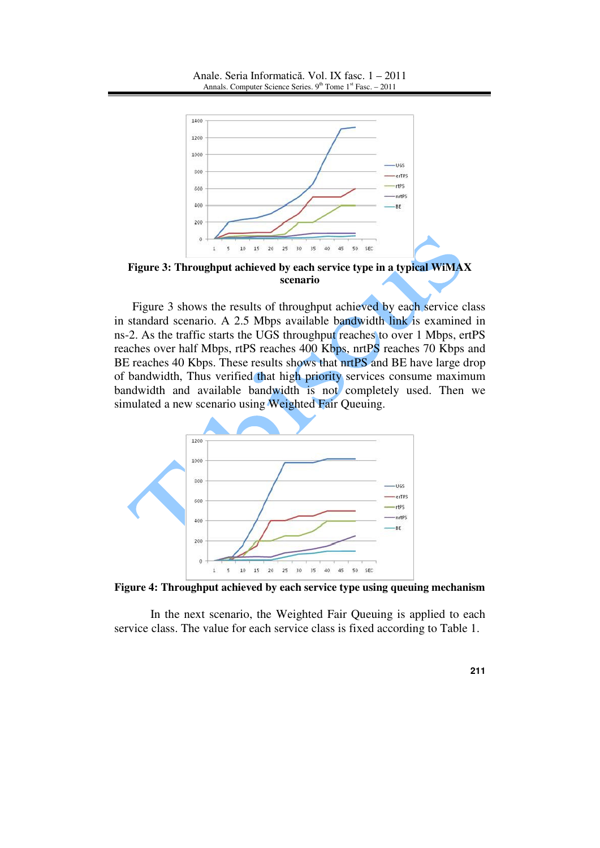

**Figure 3: Throughput achieved by each service type in a typical WiMAX scenario**

Figure 3 shows the results of throughput achieved by each service class in standard scenario. A 2.5 Mbps available bandwidth link is examined in ns-2. As the traffic starts the UGS throughput reaches to over 1 Mbps, ertPS reaches over half Mbps, rtPS reaches 400 Kbps, nrtPS reaches 70 Kbps and BE reaches 40 Kbps. These results shows that nrtPS and BE have large drop of bandwidth, Thus verified that high priority services consume maximum bandwidth and available bandwidth is not completely used. Then we simulated a new scenario using Weighted Fair Queuing.



**Figure 4: Throughput achieved by each service type using queuing mechanism**

In the next scenario, the Weighted Fair Queuing is applied to each service class. The value for each service class is fixed according to Table 1.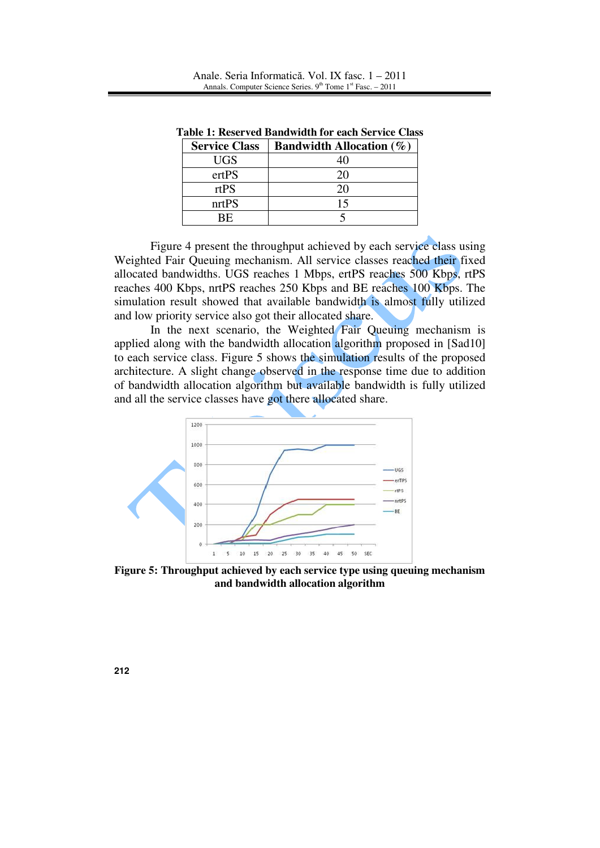| <b>Service Class</b> | <b>Bandwidth Allocation</b> $(\%)$ |
|----------------------|------------------------------------|
| <b>UGS</b>           | 40                                 |
| ertPS                | 20                                 |
| rtPS                 | 20                                 |
| nrtPS                | 15                                 |
| RF.                  |                                    |

**Table 1: Reserved Bandwidth for each Service Class**

Figure 4 present the throughput achieved by each service class using Weighted Fair Queuing mechanism. All service classes reached their fixed allocated bandwidths. UGS reaches 1 Mbps, ertPS reaches 500 Kbps, rtPS reaches 400 Kbps, nrtPS reaches 250 Kbps and BE reaches 100 Kbps. The simulation result showed that available bandwidth is almost fully utilized and low priority service also got their allocated share.

In the next scenario, the Weighted Fair Queuing mechanism is applied along with the bandwidth allocation algorithm proposed in [Sad10] to each service class. Figure 5 shows the simulation results of the proposed architecture. A slight change observed in the response time due to addition of bandwidth allocation algorithm but available bandwidth is fully utilized and all the service classes have got there allocated share.



**Figure 5: Throughput achieved by each service type using queuing mechanism and bandwidth allocation algorithm**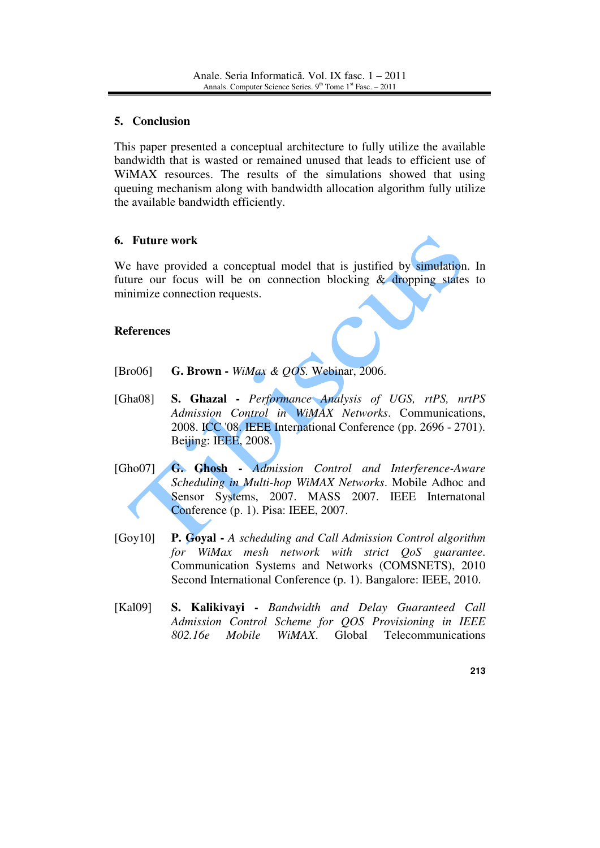## **5. Conclusion**

This paper presented a conceptual architecture to fully utilize the available bandwidth that is wasted or remained unused that leads to efficient use of WiMAX resources. The results of the simulations showed that using queuing mechanism along with bandwidth allocation algorithm fully utilize the available bandwidth efficiently.

# **6. Future work**

We have provided a conceptual model that is justified by simulation. In future our focus will be on connection blocking & dropping states to minimize connection requests.

# **References**

- [Bro06] **G. Brown** *WiMax & QOS.* Webinar, 2006.
- [Gha08] **S. Ghazal** *Performance Analysis of UGS, rtPS, nrtPS Admission Control in WiMAX Networks*. Communications, 2008. ICC '08. IEEE International Conference (pp. 2696 - 2701). Beijing: IEEE, 2008.
- [Gho07] **G. Ghosh** *Admission Control and Interference-Aware Scheduling in Multi-hop WiMAX Networks*. Mobile Adhoc and Sensor Systems, 2007. MASS 2007. IEEE Internatonal Conference (p. 1). Pisa: IEEE, 2007.
- [Goy10] **P. Goyal** *A scheduling and Call Admission Control algorithm for WiMax mesh network with strict QoS guarantee*. Communication Systems and Networks (COMSNETS), 2010 Second International Conference (p. 1). Bangalore: IEEE, 2010.
- [Kal09] **S. Kalikivayi** *Bandwidth and Delay Guaranteed Call Admission Control Scheme for QOS Provisioning in IEEE 802.16e Mobile WiMAX*. Global Telecommunications